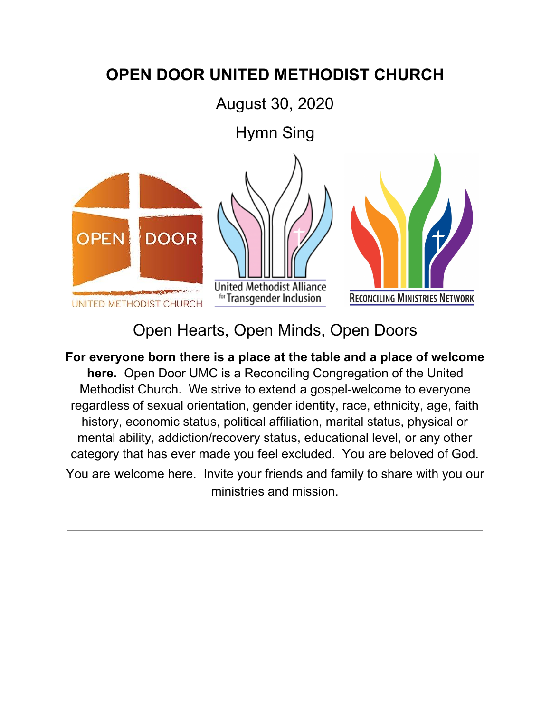## **OPEN DOOR UNITED METHODIST CHURCH**

August 30, 2020

Hymn Sing







## Open Hearts, Open Minds, Open Doors

**For everyone born there is a place at the table and a place of welcome here.** Open Door UMC is a Reconciling Congregation of the United Methodist Church. We strive to extend a gospel-welcome to everyone regardless of sexual orientation, gender identity, race, ethnicity, age, faith history, economic status, political affiliation, marital status, physical or mental ability, addiction/recovery status, educational level, or any other category that has ever made you feel excluded. You are beloved of God. You are welcome here. Invite your friends and family to share with you our ministries and mission.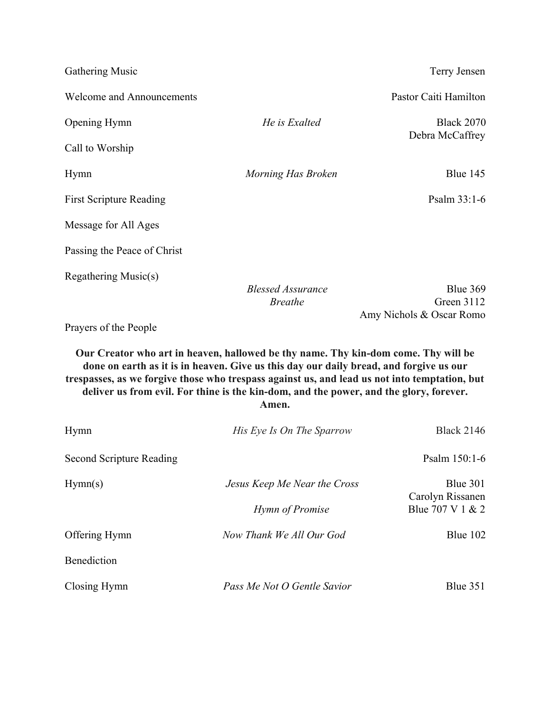| Gathering Music                                                                                                                                                                                                                                                                                                                                                                  |                                            | Terry Jensen                                       |
|----------------------------------------------------------------------------------------------------------------------------------------------------------------------------------------------------------------------------------------------------------------------------------------------------------------------------------------------------------------------------------|--------------------------------------------|----------------------------------------------------|
| <b>Welcome and Announcements</b>                                                                                                                                                                                                                                                                                                                                                 |                                            | Pastor Caiti Hamilton                              |
| Opening Hymn                                                                                                                                                                                                                                                                                                                                                                     | He is Exalted                              | <b>Black 2070</b>                                  |
| Call to Worship                                                                                                                                                                                                                                                                                                                                                                  |                                            | Debra McCaffrey                                    |
| Hymn                                                                                                                                                                                                                                                                                                                                                                             | Morning Has Broken                         | Blue 145                                           |
| <b>First Scripture Reading</b>                                                                                                                                                                                                                                                                                                                                                   |                                            | Psalm 33:1-6                                       |
| Message for All Ages                                                                                                                                                                                                                                                                                                                                                             |                                            |                                                    |
| Passing the Peace of Christ                                                                                                                                                                                                                                                                                                                                                      |                                            |                                                    |
| Regathering Music(s)                                                                                                                                                                                                                                                                                                                                                             | <b>Blessed Assurance</b><br><b>Breathe</b> | Blue 369<br>Green 3112<br>Amy Nichols & Oscar Romo |
| Prayers of the People                                                                                                                                                                                                                                                                                                                                                            |                                            |                                                    |
| Our Creator who art in heaven, hallowed be thy name. Thy kin-dom come. Thy will be<br>done on earth as it is in heaven. Give us this day our daily bread, and forgive us our<br>trespasses, as we forgive those who trespass against us, and lead us not into temptation, but<br>deliver us from evil. For thine is the kin-dom, and the power, and the glory, forever.<br>Amen. |                                            |                                                    |
| Hymn                                                                                                                                                                                                                                                                                                                                                                             | His Eye Is On The Sparrow                  | <b>Black 2146</b>                                  |
| <b>Second Scripture Reading</b>                                                                                                                                                                                                                                                                                                                                                  |                                            | Psalm 150:1-6                                      |
| Hymn(s)                                                                                                                                                                                                                                                                                                                                                                          | Jesus Keep Me Near the Cross               | Blue 301                                           |
|                                                                                                                                                                                                                                                                                                                                                                                  | Hymn of Promise                            | Carolyn Rissanen<br>Blue 707 V 1 & 2               |
| Offering Hymn                                                                                                                                                                                                                                                                                                                                                                    | Now Thank We All Our God                   | Blue 102                                           |
| Benediction                                                                                                                                                                                                                                                                                                                                                                      |                                            |                                                    |
| Closing Hymn                                                                                                                                                                                                                                                                                                                                                                     | Pass Me Not O Gentle Savior                | Blue 351                                           |